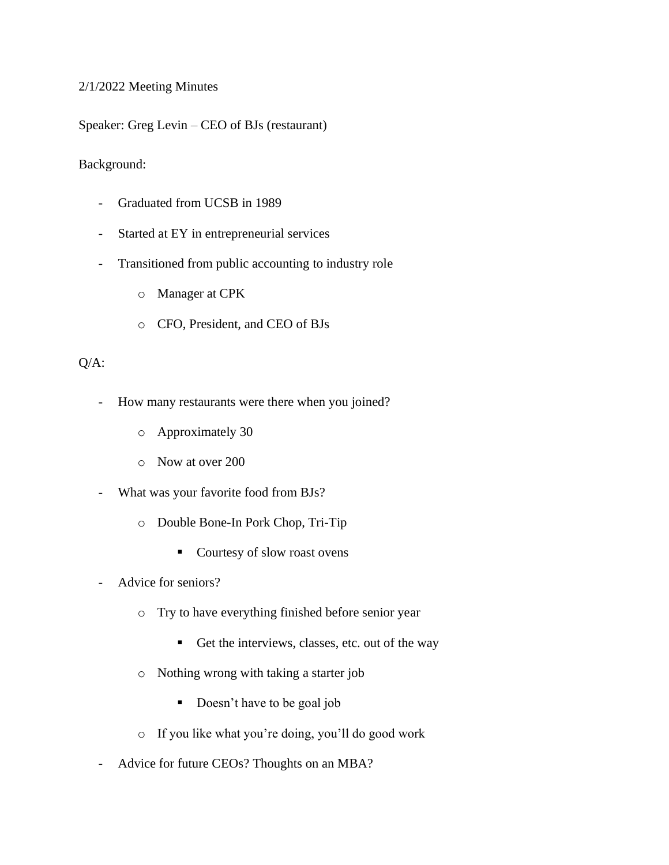## 2/1/2022 Meeting Minutes

Speaker: Greg Levin – CEO of BJs (restaurant)

Background:

- Graduated from UCSB in 1989
- Started at EY in entrepreneurial services
- Transitioned from public accounting to industry role
	- o Manager at CPK
	- o CFO, President, and CEO of BJs

## Q/A:

- How many restaurants were there when you joined?
	- o Approximately 30
	- o Now at over 200
- What was your favorite food from BJs?
	- o Double Bone-In Pork Chop, Tri-Tip
		- Courtesy of slow roast ovens
- Advice for seniors?
	- o Try to have everything finished before senior year
		- Get the interviews, classes, etc. out of the way
	- o Nothing wrong with taking a starter job
		- Doesn't have to be goal job
	- o If you like what you're doing, you'll do good work
- Advice for future CEOs? Thoughts on an MBA?